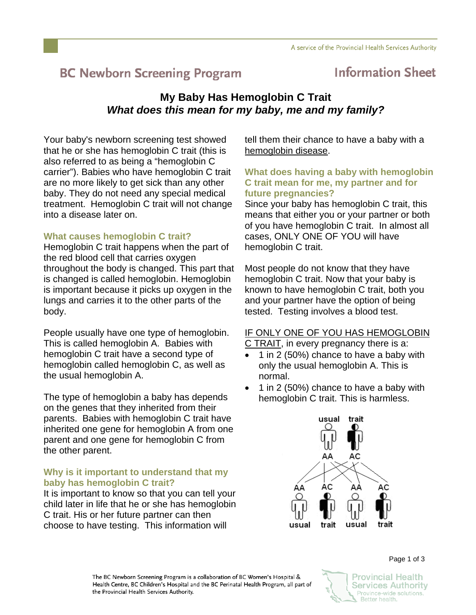# **BC Newborn Screening Program**

## **Information Sheet**

### **My Baby Has Hemoglobin C Trait**  *What does this mean for my baby, me and my family?*

Your baby's newborn screening test showed that he or she has hemoglobin C trait (this is also referred to as being a "hemoglobin C carrier"). Babies who have hemoglobin C trait are no more likely to get sick than any other baby. They do not need any special medical treatment. Hemoglobin C trait will not change into a disease later on.

#### **What causes hemoglobin C trait?**

Hemoglobin C trait happens when the part of the red blood cell that carries oxygen throughout the body is changed. This part that is changed is called hemoglobin. Hemoglobin is important because it picks up oxygen in the lungs and carries it to the other parts of the body.

People usually have one type of hemoglobin. This is called hemoglobin A. Babies with hemoglobin C trait have a second type of hemoglobin called hemoglobin C, as well as the usual hemoglobin A.

The type of hemoglobin a baby has depends on the genes that they inherited from their parents. Babies with hemoglobin C trait have inherited one gene for hemoglobin A from one parent and one gene for hemoglobin C from the other parent.

#### **Why is it important to understand that my baby has hemoglobin C trait?**

It is important to know so that you can tell your child later in life that he or she has hemoglobin C trait. His or her future partner can then choose to have testing. This information will

tell them their chance to have a baby with a hemoglobin disease.

#### **What does having a baby with hemoglobin C trait mean for me, my partner and for future pregnancies?**

Since your baby has hemoglobin C trait, this means that either you or your partner or both of you have hemoglobin C trait. In almost all cases, ONLY ONE OF YOU will have hemoglobin C trait.

Most people do not know that they have hemoglobin C trait. Now that your baby is known to have hemoglobin C trait, both you and your partner have the option of being tested. Testing involves a blood test.

#### IF ONLY ONE OF YOU HAS HEMOGLOBIN

C TRAIT, in every pregnancy there is a:

- 1 in 2 (50%) chance to have a baby with only the usual hemoglobin A. This is normal.
- 1 in 2 (50%) chance to have a baby with hemoglobin C trait. This is harmless.



The BC Newborn Screening Program is a collaboration of BC Women's Hospital & Health Centre, BC Children's Hospital and the BC Perinatal Health Program, all part of the Provincial Health Services Authority.



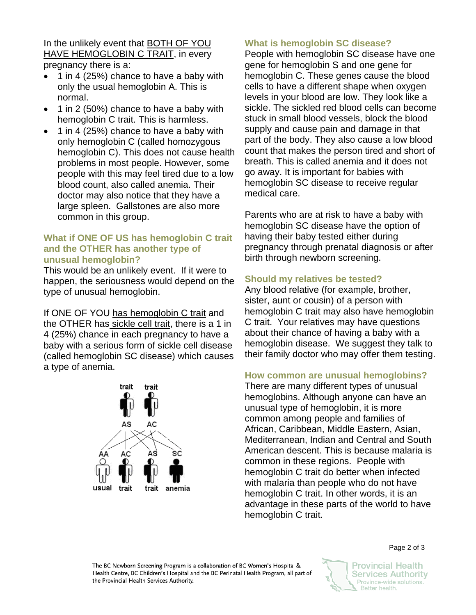In the unlikely event that BOTH OF YOU HAVE HEMOGLOBIN C TRAIT, in every pregnancy there is a:

- 1 in 4 (25%) chance to have a baby with only the usual hemoglobin A. This is normal.
- 1 in 2 (50%) chance to have a baby with hemoglobin C trait. This is harmless.
- 1 in 4 (25%) chance to have a baby with only hemoglobin C (called homozygous hemoglobin C). This does not cause health problems in most people. However, some people with this may feel tired due to a low blood count, also called anemia. Their doctor may also notice that they have a large spleen. Gallstones are also more common in this group.

#### **What if ONE OF US has hemoglobin C trait and the OTHER has another type of unusual hemoglobin?**

This would be an unlikely event. If it were to happen, the seriousness would depend on the type of unusual hemoglobin.

If ONE OF YOU has hemoglobin C trait and the OTHER has sickle cell trait, there is a 1 in 4 (25%) chance in each pregnancy to have a baby with a serious form of sickle cell disease (called hemoglobin SC disease) which causes a type of anemia.



#### **What is hemoglobin SC disease?**

People with hemoglobin SC disease have one gene for hemoglobin S and one gene for hemoglobin C. These genes cause the blood cells to have a different shape when oxygen levels in your blood are low. They look like a sickle. The sickled red blood cells can become stuck in small blood vessels, block the blood supply and cause pain and damage in that part of the body. They also cause a low blood count that makes the person tired and short of breath. This is called anemia and it does not go away. It is important for babies with hemoglobin SC disease to receive regular medical care.

Parents who are at risk to have a baby with hemoglobin SC disease have the option of having their baby tested either during pregnancy through prenatal diagnosis or after birth through newborn screening.

#### **Should my relatives be tested?**

Any blood relative (for example, brother, sister, aunt or cousin) of a person with hemoglobin C trait may also have hemoglobin C trait. Your relatives may have questions about their chance of having a baby with a hemoglobin disease. We suggest they talk to their family doctor who may offer them testing.

#### **How common are unusual hemoglobins?**

There are many different types of unusual hemoglobins. Although anyone can have an unusual type of hemoglobin, it is more common among people and families of African, Caribbean, Middle Eastern, Asian, Mediterranean, Indian and Central and South American descent. This is because malaria is common in these regions. People with hemoglobin C trait do better when infected with malaria than people who do not have hemoglobin C trait. In other words, it is an advantage in these parts of the world to have hemoglobin C trait.

The BC Newborn Screening Program is a collaboration of BC Women's Hospital & Health Centre, BC Children's Hospital and the BC Perinatal Health Program, all part of the Provincial Health Services Authority.